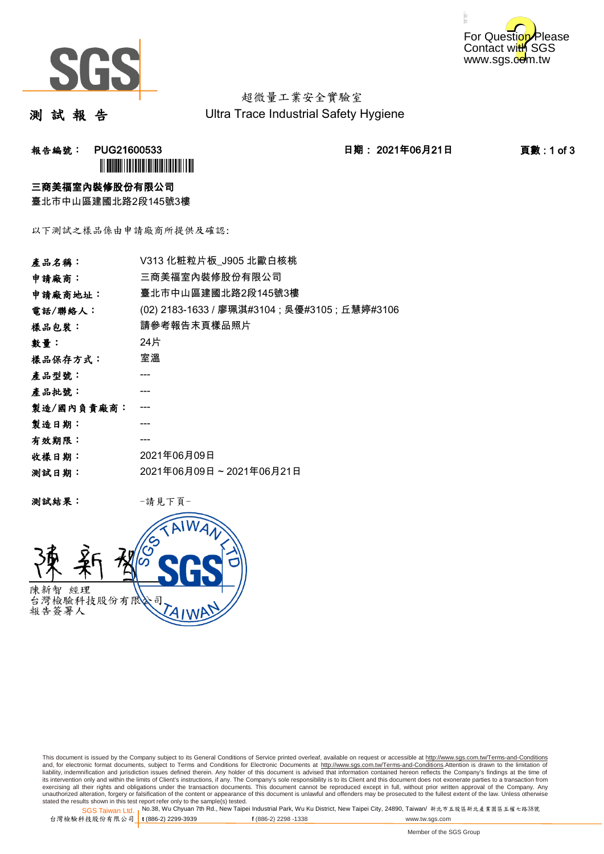



超微量工業安全實驗室 Ultra Trace Industrial Safety Hygiene

測 試 報 告

报告編號: PUG21600533 2021年06月21日 日期: 2021年06月21日 2021年06月21日 百數 : 1 of 3 **`** 

### 三商美福室內裝修股份有限公司

臺北市中山區建國北路2段145號3樓

以下測試之樣品係由申請廠商所提供及確認:

| V313 化粧粒片板_J905 北歐白核桃                          |
|------------------------------------------------|
| 三商美福室內裝修股份有限公司                                 |
| 臺北市中山區建國北路2段145號3樓                             |
| (02) 2183-1633 / 廖珮淇#3104 ; 吳優#3105 ; 丘慧婷#3106 |
| 請參考報告末頁樣品照片                                    |
| 24片                                            |
| 室溫                                             |
|                                                |
|                                                |
|                                                |
|                                                |
|                                                |
| 2021年06月09日                                    |
| 2021年06月09日~2021年06月21日                        |
|                                                |

测試結果: 一請見下頁



This document is issued by the Company subject to its General Conditions of Service printed overleaf, available on request or accessible at http://www.sgs.com.tw/Terms-and-Conditions and, for electronic format documents, subject to Terms and Conditions for Electronic Documents at <u>http://www.sgs.com.tw/Terms-and-Conditions</u>.Attention is drawn to the limitation of<br>liability, indemnification and jurisdic exercising all their rights and obligations under the transaction documents. This document cannot be reproduced except in full, without prior written approval of the Company. Any<br>unauthorized alteration, forgery or falsifi

SGS Taiwan Ltd. 1 stated the results shown in this test report refer only to the sample(s) tested.<br>Stated the results shown in this test report refer only to the sample(s) tested.

台灣檢驗科技股份有限公司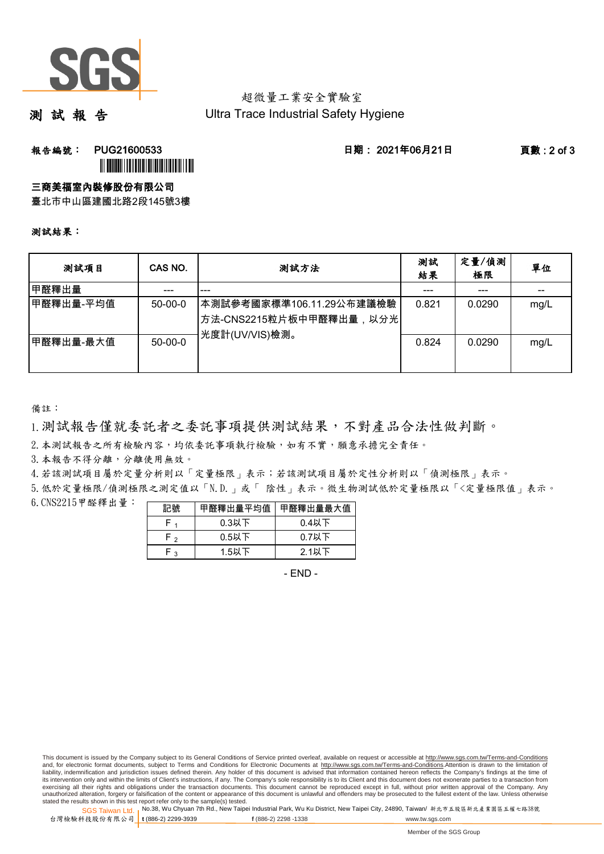

# 超微量工業安全實驗室 Ultra Trace Industrial Safety Hygiene

測 試 報 告

# 報告編號: PUG21600533 日期: 2021年06月21日 頁數 : 2 of 3 ÌPUG21600532GÎ

## 三商美福室內裝修股份有限公司

臺北市中山區建國北路2段145號3樓

### 測試結果:

| 测試項目      | CAS NO.   | 測試方法                                                                     | 測試<br>結果 | 定量/偵測<br>極限 | 單位   |
|-----------|-----------|--------------------------------------------------------------------------|----------|-------------|------|
| 甲醛釋出量     | ---       | ---                                                                      |          | ---         | --   |
| 甲醛釋出量-平均值 | $50-00-0$ | ┃本測試參考國家標準106.11.29公布建議檢驗<br>│方法-CNS2215粒片板中甲醛釋出量,以分光│<br>光度計(UV/VIS)檢測。 | 0.821    | 0.0290      | mg/L |
| 甲醛釋出量-最大值 | $50-00-0$ |                                                                          | 0.824    | 0.0290      | mg/L |

備註:

1.測試報告僅就委託者之委託事項提供測試結果,不對產品合法性做判斷。

2. 本測試報告之所有檢驗內容,均依委託事項執行檢驗,如有不實,願意承擔完全責任。

3. 本報告不得分離,分離使用無效。

4.若該測試項目屬於定量分析則以「定量極限」表示;若該測試項目屬於定性分析則以「偵測極限」表示。

5.低於定量極限/偵測極限之測定值以「N.D.」或「 陰性」表示。微生物測試低於定量極限以「<定量極限值」表示。

6.CNS2215甲醛釋出量: 

| 記號  | 甲醛釋出量平均值 | 甲醛釋出量最大值 |
|-----|----------|----------|
| ۲.  | $0.3$ 以下 | $0.4$ 以下 |
| F,  | $0.5$ 以下 | $0.7$ 以下 |
| ໍ່າ | 1.5以下    | $2.1$ 以下 |

- END -

This document is issued by the Company subject to its General Conditions of Service printed overleaf, available on request or accessible at http://www.sgs.com.tw/Terms-and-Conditions and, for electronic format documents, subject to Terms and Conditions for Electronic Documents at http://www.sgs.com.tw/Terms-and-Conditions.Attention is drawn to the limitation of liability, indemnification and jurisdiction issues defined therein. Any holder of this document is advised that information contained hereon reflects the Company's findings at the time of<br>its intervention only and within t exercising all their rights and obligations under the transaction documents. This document cannot be reproduced except in full, without prior written approval of the Company. Any<br>unauthorized alteration, forgery or falsifi

SGS Taiwan Ltd. 1 stated the results shown in this test report refer only to the sample(s) tested.<br>Stated the results shown in this test report refer only to the sample(s) tested.

台灣檢驗科技股份有限公司

**t** (886-2) 2299-3939 **f** (886-2) 2298 -1338 www.tw.sgs.com